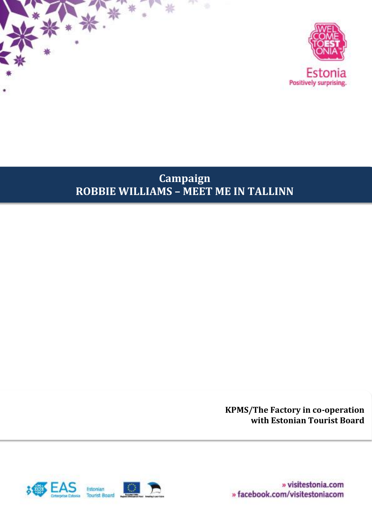



# **Campaign ROBBIE WILLIAMS – MEET ME IN TALLINN**

**KPMS/The Factory in co-operation with Estonian Tourist Board**

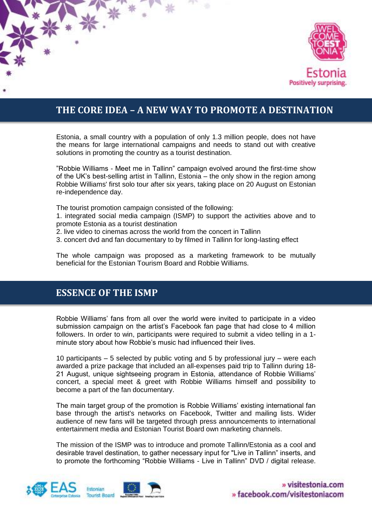

## **THE CORE IDEA – A NEW WAY TO PROMOTE A DESTINATION**

Estonia, a small country with a population of only 1.3 million people, does not have the means for large international campaigns and needs to stand out with creative solutions in promoting the country as a tourist destination.

"Robbie Williams - Meet me in Tallinn" campaign evolved around the first-time show of the UK's best-selling artist in Tallinn, Estonia – the only show in the region among Robbie Williams' first solo tour after six years, taking place on 20 August on Estonian re-independence day.

The tourist promotion campaign consisted of the following:

1. integrated social media campaign (ISMP) to support the activities above and to promote Estonia as a tourist destination

2. live video to cinemas across the world from the concert in Tallinn

3. concert dvd and fan documentary to by filmed in Tallinn for long-lasting effect

The whole campaign was proposed as a marketing framework to be mutually beneficial for the Estonian Tourism Board and Robbie Williams.

### **ESSENCE OF THE ISMP**

Robbie Williams' fans from all over the world were invited to participate in a video submission campaign on the artist's Facebook fan page that had close to 4 million followers. In order to win, participants were required to submit a video telling in a 1 minute story about how Robbie's music had influenced their lives.

10 participants – 5 selected by public voting and 5 by professional jury – were each awarded a prize package that included an all-expenses paid trip to Tallinn during 18- 21 August, unique sightseeing program in Estonia, attendance of Robbie Williams' concert, a special meet & greet with Robbie Williams himself and possibility to become a part of the fan documentary.

The main target group of the promotion is Robbie Williams' existing international fan base through the artist's networks on Facebook, Twitter and mailing lists. Wider audience of new fans will be targeted through press announcements to international entertainment media and Estonian Tourist Board own marketing channels.

The mission of the ISMP was to introduce and promote Tallinn/Estonia as a cool and desirable travel destination, to gather necessary input for "Live in Tallinn" inserts, and to promote the forthcoming "Robbie Williams - Live in Tallinn" DVD / digital release.



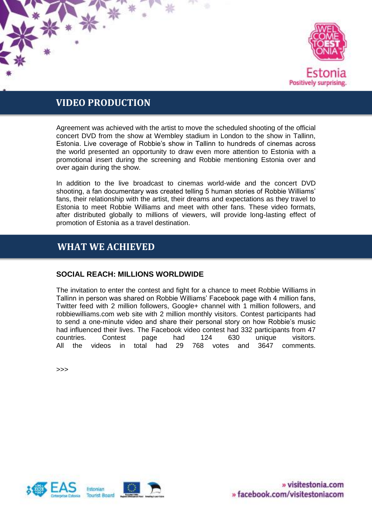

### **VIDEO PRODUCTION**

Agreement was achieved with the artist to move the scheduled shooting of the official concert DVD from the show at Wembley stadium in London to the show in Tallinn, Estonia. Live coverage of Robbie's show in Tallinn to hundreds of cinemas across the world presented an opportunity to draw even more attention to Estonia with a promotional insert during the screening and Robbie mentioning Estonia over and over again during the show.

In addition to the live broadcast to cinemas world-wide and the concert DVD shooting, a fan documentary was created telling 5 human stories of Robbie Williams' fans, their relationship with the artist, their dreams and expectations as they travel to Estonia to meet Robbie Williams and meet with other fans. These video formats, after distributed globally to millions of viewers, will provide long-lasting effect of promotion of Estonia as a travel destination.

## **WHAT WE ACHIEVED**

#### **SOCIAL REACH: MILLIONS WORLDWIDE**

The invitation to enter the contest and fight for a chance to meet Robbie Williams in Tallinn in person was shared on Robbie Williams' Facebook page with 4 million fans, Twitter feed with 2 million followers, Google+ channel with 1 million followers, and robbiewilliams.com web site with 2 million monthly visitors. Contest participants had to send a one-minute video and share their personal story on how Robbie's music had influenced their lives. The Facebook video contest had 332 participants from 47 countries. Contest page had 124 630 unique visitors. All the videos in total had 29 768 votes and 3647 comments.

>>>



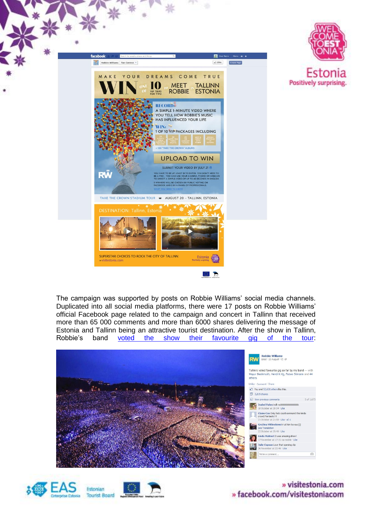

The campaign was supported by posts on Robbie Williams' social media channels. Duplicated into all social media platforms, there were 17 posts on Robbie Williams' official Facebook page related to the campaign and concert in Tallinn that received more than 65 000 comments and more than 6000 shares delivering the message of Estonia and Tallinn being an attractive tourist destination. After the show in Tallinn,<br>Robbie's band voted the show their favourite gig of the tour: Robbie's band [voted the show their favourite gig of the tour:](https://www.facebook.com/photo.php?fbid=10151663534149107&set=pb.5441929106.-2207520000.1387310945.&type=3&theater)